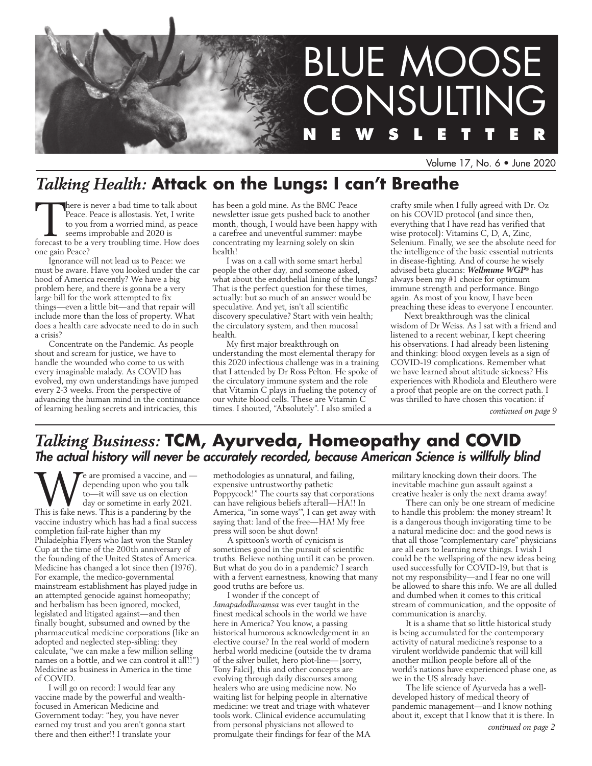

Volume 17, No. 6 • June 2020

# *Talking Health:* **Attack on the Lungs: I can't Breathe**

There is never a bad time to talk about<br>Peace. Peace is allostasis. Yet, I write<br>to you from a worried mind, as peace<br>seems improbable and 2020 is<br>forecast to be a very troubling time. How does Peace. Peace is allostasis. Yet, I write to you from a worried mind, as peace seems improbable and 2020 is forecast to be a very troubling time. How does one gain Peace?

Ignorance will not lead us to Peace: we must be aware. Have you looked under the car hood of America recently? We have a big problem here, and there is gonna be a very large bill for the work attempted to fix things—even a little bit—and that repair will include more than the loss of property. What does a health care advocate need to do in such a crisis?

Concentrate on the Pandemic. As people shout and scream for justice, we have to handle the wounded who come to us with every imaginable malady. As COVID has evolved, my own understandings have jumped every 2-3 weeks. From the perspective of advancing the human mind in the continuance of learning healing secrets and intricacies, this

has been a gold mine. As the BMC Peace newsletter issue gets pushed back to another month, though, I would have been happy with a carefree and uneventful summer: maybe concentrating my learning solely on skin health!

I was on a call with some smart herbal people the other day, and someone asked, what about the endothelial lining of the lungs? That is the perfect question for these times, actually: but so much of an answer would be speculative. And yet, isn't all scientific discovery speculative? Start with vein health; the circulatory system, and then mucosal health.

My first major breakthrough on understanding the most elemental therapy for this 2020 infectious challenge was in a training that I attended by Dr Ross Pelton. He spoke of the circulatory immune system and the role that Vitamin C plays in fueling the potency of our white blood cells. These are Vitamin C times. I shouted, "Absolutely". I also smiled a

crafty smile when I fully agreed with Dr. Oz on his COVID protocol (and since then, everything that I have read has verified that wise protocol): Vitamins C, D, A, Zinc, Selenium. Finally, we see the absolute need for the intelligence of the basic essential nutrients in disease-fighting. And of course he wisely advised beta glucans: *Wellmune WGP*® has always been my #1 choice for optimum immune strength and performance. Bingo again. As most of you know, I have been preaching these ideas to everyone I encounter.

Next breakthrough was the clinical wisdom of Dr Weiss. As I sat with a friend and listened to a recent webinar, I kept cheering his observations. I had already been listening and thinking: blood oxygen levels as a sign of COVID-19 complications. Remember what we have learned about altitude sickness? His experiences with Rhodiola and Eleuthero were a proof that people are on the correct path. I was thrilled to have chosen this vocation: if

*continued on page 9*

# *Talking Business:* **TCM, Ayurveda, Homeopathy and COVID** *The actual history will never be accurately recorded, because American Science is willfully blind*

We are promised a vaccine, and —<br>
to—it will save us on election<br>
day or sometime in early 2021.<br>
This is fake news. This is a pandering by the depending upon who you talk to—it will save us on election day or sometime in early 2021. vaccine industry which has had a final success completion fail-rate higher than my Philadelphia Flyers who last won the Stanley Cup at the time of the 200th anniversary of the founding of the United States of America. Medicine has changed a lot since then (1976). For example, the medico-governmental mainstream establishment has played judge in an attempted genocide against homeopathy; and herbalism has been ignored, mocked, legislated and litigated against—and then finally bought, subsumed and owned by the pharmaceutical medicine corporations (like an adopted and neglected step-sibling: they calculate, "we can make a few million selling names on a bottle, and we can control it all!!") Medicine as business in America in the time of COVID.

I will go on record: I would fear any vaccine made by the powerful and wealthfocused in American Medicine and Government today: "hey, you have never earned my trust and you aren't gonna start there and then either!! I translate your

methodologies as unnatural, and failing, expensive untrustworthy pathetic Poppycock!" The courts say that corporations can have religious beliefs afterall—HA!! In America, "in some ways'", I can get away with saying that: land of the free—HA! My free press will soon be shut down!

A spittoon's worth of cynicism is sometimes good in the pursuit of scientific truths. Believe nothing until it can be proven. But what do you do in a pandemic? I search with a fervent earnestness, knowing that many good truths are before us.

I wonder if the concept of *Janapadodhwamsa* was ever taught in the finest medical schools in the world we have here in America? You know, a passing historical humorous acknowledgement in an elective course? In the real world of modern herbal world medicine (outside the tv drama of the silver bullet, hero plot-line—[sorry, Tony Falci], this and other concepts are evolving through daily discourses among healers who are using medicine now. No waiting list for helping people in alternative medicine: we treat and triage with whatever tools work. Clinical evidence accumulating from personal physicians not allowed to promulgate their findings for fear of the MA military knocking down their doors. The inevitable machine gun assault against a creative healer is only the next drama away!

There can only be one stream of medicine to handle this problem: the money stream! It is a dangerous though invigorating time to be a natural medicine doc: and the good news is that all those "complementary care" physicians are all ears to learning new things. I wish I could be the wellspring of the new ideas being used successfully for COVID-19, but that is not my responsibility—and I fear no one will be allowed to share this info. We are all dulled and dumbed when it comes to this critical stream of communication, and the opposite of communication is anarchy.

It is a shame that so little historical study is being accumulated for the contemporary activity of natural medicine's response to a virulent worldwide pandemic that will kill another million people before all of the world's nations have experienced phase one, as we in the US already have.

The life science of Ayurveda has a welldeveloped history of medical theory of pandemic management—and I know nothing about it, except that I know that it is there. In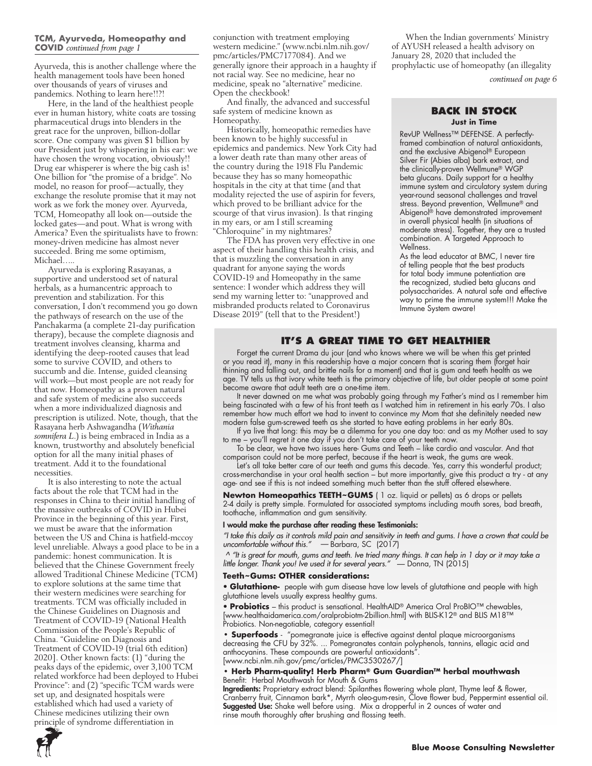### **TCM, Ayurveda, Homeopathy and COVID** *continued from page 1*

Ayurveda, this is another challenge where the health management tools have been honed over thousands of years of viruses and pandemics. Nothing to learn here!!?!

Here, in the land of the healthiest people ever in human history, white coats are tossing pharmaceutical drugs into blenders in the great race for the unproven, billion-dollar score. One company was given \$1 billion by our President just by whispering in his ear: we have chosen the wrong vocation, obviously!! Drug ear whisperer is where the big cash is! One billion for "the promise of a bridge". No model, no reason for proof—actually, they exchange the resolute promise that it may not work as we fork the money over. Ayurveda, TCM, Homeopathy all look on—outside the locked gates—and pout. What is wrong with America? Even the spiritualists have to frown: money-driven medicine has almost never succeeded. Bring me some optimism, Michael…..

Ayurveda is exploring Rasayanas, a supportive and understood set of natural herbals, as a humancentric approach to prevention and stabilization. For this conversation, I don't recommend you go down the pathways of research on the use of the Panchakarma (a complete 21-day purification therapy), because the complete diagnosis and treatment involves cleansing, kharma and identifying the deep-rooted causes that lead some to survive COVID, and others to succumb and die. Intense, guided cleansing will work—but most people are not ready for that now. Homeopathy as a proven natural and safe system of medicine also succeeds when a more individualized diagnosis and prescription is utilized. Note, though, that the Rasayana herb Ashwagandha (*Withania somnifera L.*) is being embraced in India as a known, trustworthy and absolutely beneficial option for all the many initial phases of treatment. Add it to the foundational necessities.

It is also interesting to note the actual facts about the role that TCM had in the responses in China to their initial handling of the massive outbreaks of COVID in Hubei Province in the beginning of this year. First, we must be aware that the information between the US and China is hatfield-mccoy level unreliable. Always a good place to be in a pandemic: honest communication. It is believed that the Chinese Government freely allowed Traditional Chinese Medicine (TCM) to explore solutions at the same time that their western medicines were searching for treatments. TCM was officially included in the Chinese Guidelines on Diagnosis and Treatment of COVID-19 (National Health Commission of the People's Republic of China. "Guideline on Diagnosis and Treatment of COVID-19 (trial 6th edition) 2020]. Other known facts: (1) "during the peaks days of the epidemic, over 3,100 TCM related workforce had been deployed to Hubei Province": and (2) "specific TCM wards were set up, and designated hospitals were established which had used a variety of Chinese medicines utilizing their own principle of syndrome differentiation in

conjunction with treatment employing western medicine." (www.ncbi.nlm.nih.gov/ pmc/articles/PMC7177084). And we generally ignore their approach in a haughty if not racial way. See no medicine, hear no medicine, speak no "alternative" medicine. Open the checkbook!

And finally, the advanced and successful safe system of medicine known as Homeopathy.

Historically, homeopathic remedies have been known to be highly successful in epidemics and pandemics. New York City had a lower death rate than many other areas of the country during the 1918 Flu Pandemic because they has so many homeopathic hospitals in the city at that time (and that modality rejected the use of aspirin for fevers, which proved to be brilliant advice for the scourge of that virus invasion). Is that ringing in my ears, or am I still screaming "Chloroquine" in my nightmares?

The FDA has proven very effective in one aspect of their handling this health crisis, and that is muzzling the conversation in any quadrant for anyone saying the words COVID-19 and Homeopathy in the same sentence: I wonder which address they will send my warning letter to: "unapproved and misbranded products related to Coronavirus Disease 2019" (tell that to the President!)

When the Indian governments' Ministry of AYUSH released a health advisory on January 28, 2020 that included the prophylactic use of homeopathy (an illegality

*continued on page 6*

### **BACK IN STOCK Just in Time**

RevUP Wellness™ DEFENSE. A perfectlyframed combination of natural antioxidants, and the exclusive Abigenol® European Silver Fir (Abies alba) bark extract, and the clinically-proven Wellmune® WGP beta glucans. Daily support for a healthy immune system and circulatory system during year-round seasonal challenges and travel stress. Beyond prevention, Wellmune® and Abigenol® have demonstrated improvement in overall physical health (in situations of moderate stress). Together, they are a trusted combination. A Targeted Approach to Wellness.

As the lead educator at BMC, I never tire of telling people that the best products for total body immune potentiation are the recognized, studied beta glucans and polysaccharides. A natural safe and effective way to prime the immune system!!! Make the Immune System aware!

### **IT'S A GREAT TIME TO GET HEALTHIER**

Forget the current Drama du jour (and who knows where we will be when this get printed or you read it), many in this readership have a major concern that is scaring them (forget hair thinning and falling out, and brittle nails for a moment) and that is gum and teeth health as we age. TV tells us that ivory white teeth is the primary objective of life, but older people at some point become aware that adult teeth are a one-time item.

It never dawned on me what was probably going through my Father's mind as I remember him being fascinated with a few of his front teeth as I watched him in retirement in his early 70s. I also remember how much effort we had to invent to convince my Mom that she definitely needed new modern false gum-screwed teeth as she started to have eating problems in her early 80s.

If ya live that long: this may be a dilemma for you one day too: and as my Mother used to say to me – you'll regret it one day if you don't take care of your teeth now.

To be clear, we have two issues here- Gums and Teeth – like cardio and vascular. And that comparison could not be more perfect, because if the heart is weak, the gums are weak.

Let's all take better care of our teeth and gums this decade. Yes, carry this wonderful product; cross-merchandise in your oral health section – but more importantly, give this product a try - at any age- and see if this is not indeed something much better than the stuff offered elsewhere.

**Newton Homeopathics TEETH~GUMS** ( 1 oz. liquid or pellets) as 6 drops or pellets 2-4 daily is pretty simple. Formulated for associated symptoms including mouth sores, bad breath, toothache, inflammation and gum sensitivity.

### I would make the purchase after reading these Testimonials:

*"I take this daily as it controls mild pain and sensitivity in teeth and gums. I have a crown that could be uncomfortable without this."* — Barbara, SC (2017)

 *^ "It is great for mouth, gums and teeth. Ive tried many things. It can help in 1 day or it may take a little longer. Thank you! Ive used it for several years."* — Donna, TN (2015)

### **Teeth~Gums: OTHER considerations:**

• **Glutathione-** people with gum disease have low levels of glutathione and people with high glutathione levels usually express healthy gums.

• **Probiotics** – this product is sensational. HealthAID® America Oral ProBIO™ chewables, [www.healthaidamerica.com/oralprobiotm-2billion.html] with BLIS-K12® and BLIS M18™ Probiotics. Non-negotiable, category essential!

**• Superfoods** - "pomegranate juice is effective against dental plaque microorganisms decreasing the CFU by 32%. ... Pomegranates contain polyphenols, tannins, ellagic acid and anthocyanins. These compounds are powerful antioxidants' [www.ncbi.nlm.nih.gov/pmc/articles/PMC3530267/]

### **• Herb Pharm-quality! Herb Pharm® Gum Guardian™ herbal mouthwash** Benefit: Herbal Mouthwash for Mouth & Gums

**Ingredients:** Proprietary extract blend: Spilanthes flowering whole plant, Thyme leaf & flower, Cranberry fruit, Cinnamon bark\*, Myrrh oleo-gum-resin, Clove flower bud, Peppermint essential oil. Suggested Use: Shake well before using. Mix a dropperful in 2 ounces of water and rinse mouth thoroughly after brushing and flossing teeth.

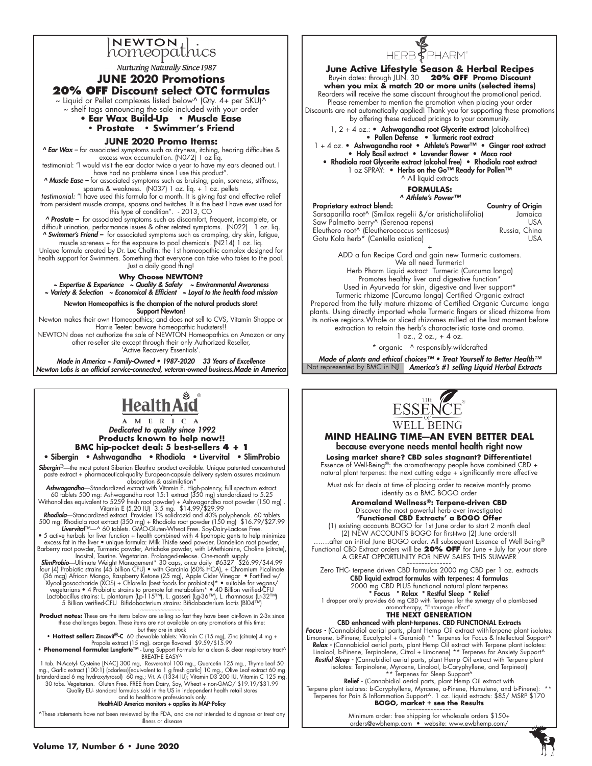

Nurturing Naturally Since 1987

### **JUNE 2020 Promotions 20% OFF Discount select OTC formulas**

 $\sim$  Liquid or Pellet complexes listed below^ (Qty. 4+ per SKU)^

~ shelf tags announcing the sale included with your order

#### • **Ear Wax Build-Up • Muscle Ease • Prostate • Swimmer's Friend**

### **JUNE 2020 Promo Items:**

*^ Ear Wax –* for associated symptoms such as dryness, itching, hearing difficulties & excess wax accumulation. (N072) 1 oz liq.

testimonial: "I would visit the ear doctor twice a year to have my ears cleaned out. I have had no problems since I use this product"

*^ Muscle Ease –* for associated symptoms such as bruising, pain, soreness, stiffness, spasms & weakness. (N037) 1 oz. liq. + 1 oz. pellets

testimonial: "I have used this formula for a month. It is giving fast and effective relief from persistent muscle cramps, spasms and twitches. It is the best I have ever used for this type of condition". - 2013, CO

*Prostate –* for associated symptoms such as discomfort, frequent, incomplete, or difficult urination, performance issues & other related symptoms. (N022) 1 oz. liq.

*^ Swimmer's Friend –* for associated symptoms such as cramping, dry skin, fatigue, muscle soreness + for the exposure to pool chemicals. (N214) 1 oz. liq.

Unique formula created by Dr. Luc Chaltin: the 1st homeopathic complex designed for health support for Swimmers. Something that everyone can take who takes to the pool. Just a daily good thing!

### **Why Choose NEWTON?**

*~ Expertise & Experience ~ Quality & Safety ~ Environmental Awareness*

*~ Variety & Selection ~ Economical & Efficient ~ Loyal to the health food mission*

Newton Homeopathics is the champion of the natural products store! Support Newton!

Newton makes their own Homeopathics; and does not sell to CVS, Vitamin Shoppe or Harris Teeter: beware homeopathic hucksters!!

NEWTON does not authorize the sale of NEWTON Homeopathics on Amazon or any other re-seller site except through their only Authorized Reseller, 'Active Recovery Essentials'.

*Made in America ~ Family-Owned • 1987-2020 33 Years of Excellence Newton Labs is an official service-connected, veteran-owned business.Made in America* 

# **Health Ard**

*Dedicated to quality since 1992* **Products known to help now!! BMC hip-pocket deal: 5 best-sellers 4 + 1**

• Sibergin • Ashwagandha • Rhodiola • Livervital • SlimProbio *Sibergin*®—the most potent Siberian Eleuthro product available. Unique patented concentrated

paste extract + pharmaceutical-quality European-capsule delivery system assures maximum<br>**Ashwagandha**—Standardized extract with Vitamin E. High-potency, full spectrum extract.

60 tablets 500 mg: Ashwagandha root 15:1 extract (350 mg) standardized to 5.25<br>Withanolides equivalent to 5259 fresh root powder | Ashwagandha root powder (150 mg) .<br>Vitamin E (5.20 lU) 3.5 mg. \$14.99/\$29.99<br>**Rhodiola**—Sta

• 5 active herbals for liver function + health combined with 4 lipotropic gents to help minimize excess fat in the liver • unique formula: Milk Thistle seed powder, Dandelion root powder, Barberry root powder, Turmeric powder, Artichoke powder, with L-Methionine, Choline (citrate),

Inositol, Taurine. Vegetarian. Prolonged-release. One-month supply<br>**SlimProbio—**Ultimate Weight Management\* 30 caps, once daily #6327 \$26.99/\$44.99<br>four (4) Probiotic strains (45 billion CFU) ● with Garcinia (60% HCA), + /36 mcg) African Mango, Raspberry Ketone (25 mg), Apple Cider Vinegar • Fortified w)<br>Xlyooligosaccharide (XOS) + Chlorella (best foods for probiotics)\* • suitable for vegans/<br>wegetarians • 4 Probiotic strains to promote fa Lactobacillus strains: L. plantarum (Lp-115™), L. gasseri (Lg-36™), L. rhamnosus (Lr-32™)<br>5 Billion verified-CFU Bifidobacterium strains: Bifidobacterium lactis (BIO4™)

~~~~~~~~~~~~~~~ **Product notes:** These are the items below are selling so fast they have been air-flown in 2-3x since these challenges began. These items are not available on any promotions at this time

but they are in stock **• Hottest seller:** Zincovit®-C 60 chewable tablets: Vitamin C (15 mg), Zinc (citrate) 4 mg +

Propolis extract (15 mg). orange flavored \$9.59/\$15.99<br>• **Phenomenal formula: Lungforte™** Lung Support Formula for a clean & clear respiratory tract^<br>— BREATHE EASY^

1 tab. N-Acetyl- Cysteine [NAC] 300 mg, Resveratrol 100 mg., Quercetin 125 mg., Thyme Leaf 50<br>19 mg., Garlic extract (100:1) [odorless][equivalent to 1 g fresh garlic] 10 mg., Olive Leaf extract 60 mg<br>[standardized 6 mg hy 30 tabs. Vegetarian. Gluten Free. FREE from Dairy, Soy, Wheat + non-GMO/ \$19.19/\$31.99<br>Quality EU- standard formulas sold in the US in independent health retail stores<br>and to healthcare professionals only.

#### HealthAID America monitors + applies its MAP-Policy

^These statements have not been reviewed by the FDA, and are not intended to diagnose or treat any illness or disease



**June Active Lifestyle Season & Herbal Recipes** Buy-in dates: through JUN. 30 **20% OFF Promo Discount when you mix & match 20 or more units (selected items)** Reorders will receive the same discount throughout the promotional period. Please remember to mention the promotion when placing your order Discounts are not automatically applied! Thank you for supporting these promotions by offering these reduced pricings to your community.  $1, 2 + 4$  oz.: • Ashwagandha root Glycerite extract (alcohol-free) • Pollen Defense • Turmeric root extract 1 + 4 oz. • Ashwagandha root • Athlete's Power™ • Ginger root extract • Holy Basil extract • Lavender flower • Maca root • Rhodiola root Glycerite extract (alcohol free) • Rhodiola root extract 1 oz SPRAY: • Herbs on the Go™ Ready for Pollen™ ^ All liquid extracts **FORMULAS:** *^ Athlete's Power™* Proprietary extract blend: Country of Origin Sarsaparilla root^ (Smilax regelii &/or aristicholiifolia) Jamaica Saw Palmetto berry^ (Serenoa repens) USA<br>Eleuthero root^ (Eleutherococcus senticosus) Russia, China Eleuthero root^ (Eleutherococcus senticosus) Russia, China Gotu Kola herb\* (Centella asiatica)

+ ADD a fun Recipe Card and gain new Turmeric customers. We all need Turmeric!

Herb Pharm Liquid extract Turmeric (Curcuma longa) Promotes healthy liver and digestive function\* Used in Ayurveda for skin, digestive and liver support\*

Turmeric rhizome (Curcuma longa) Certified Organic extract Prepared from the fully mature rhizome of Certified Organic Curcuma longa plants. Using directly imported whole Turmeric fingers or sliced rhizome from its native regions.Whole or sliced rhizomes milled at the last moment before extraction to retain the herb's characteristic taste and aroma.

 $1$  oz.,  $2$  oz.,  $+$  4 oz.

\* organic ^ responsibly-wildcrafted

*Made of plants and ethical choices™ • Treat Yourself to Better Health™* Not represented by BMC in NJ **America's #1 selling Liquid Herbal Extracts** 



### **MIND HEALING TIME—AN EVEN BETTER DEAL** because everyone needs mental health right now

**Losing market share? CBD sales stagnant? Differentiate!** Essence of Well-Being<sup>®</sup>: the aromatherapy people have combined CBD + natural plant terpenes: the next cutting edge + significantly more effective

~~~~~~~~~~~~~~~ Must ask for deals at time of placing order to receive monthly promo identify as a BMC BOGO order

> **Aromaland Wellness®: Terpene-driven CBD** Discover the most powerful herb ever investigated **'Functional CBD Extracts' a BOGO Offer**

(1) existing accounts BOGO for 1st June order to start 2 month deal (2) NEW ACCOUNTS BOGO for first-two (2) June orders!! ....after an initial June BOGO order. All subsequent Essence of Well Being® Functional CBD Extract orders will be **20% OFF** for June + July for your store A GREAT OPPORTUNITY FOR NEW SALES THIS SUMMER

~~~~~~~~~~~~~~~ Zero THC- terpene driven CBD formulas 2000 mg CBD per 1 oz. extracts CBD liquid extract formulas with terpenes: 4 formulas

2000 mg CBD PLUS functional natural plant terpenes<br> **\* Focus \* Relax \* Restful Sleep \* Relief**<br>
1 dropper orally provides 66 mg CBD with Terpenes for the synergy of a plant-based<br>
aromatherapy, "Entourage effect".

### **THE NEXT GENERATION**

CBD enhanced with plant-terpenes. CBD FUNCTIONAL Extracts

Focus - (Cannabidiol aerial parts, plant Hemp Oil extract withTerpene plant isolates: Limonene, b-Pinene, Eucalyptol + Geraniol) \*\* Terpenes for Focus & Intellectual Support^ **Relax -** (Cannabidiol aerial parts, plant Hemp Oil extract with Terpene plant isolates:<br>Linalool, b-Pinene, Terpinolene, Citral + Limonene) \*\* Terpenes for Anxiety Support^ **Restful Sleep -** (Cannabidiol aerial parts, plant Hemp Oil extract with Terpene plant isolates: Terpinolene, \*\*\* Terpene for Sleep Support<sup>A</sup><br>isolates: Terpinolene, \*\* Terpenes for Sleep Support<sup>A</sup><br>**Relief -** (Cannabidiol

Terpene plant isolates: b-Caryphyllene, Myrcene, a-Pinene, Humulene, and b-Pinene): \*\* Terpenes for Pain & Inflammation Support^. 1 oz. liquid extracts: \$85/ MSRP \$170 **BOGO, market + see the Results** ~~~~~~~~~~~~~~~

Minimum order: free shipping for wholesale orders \$150+ orders@ewbhemp.com • website: www.ewbhemp.com/

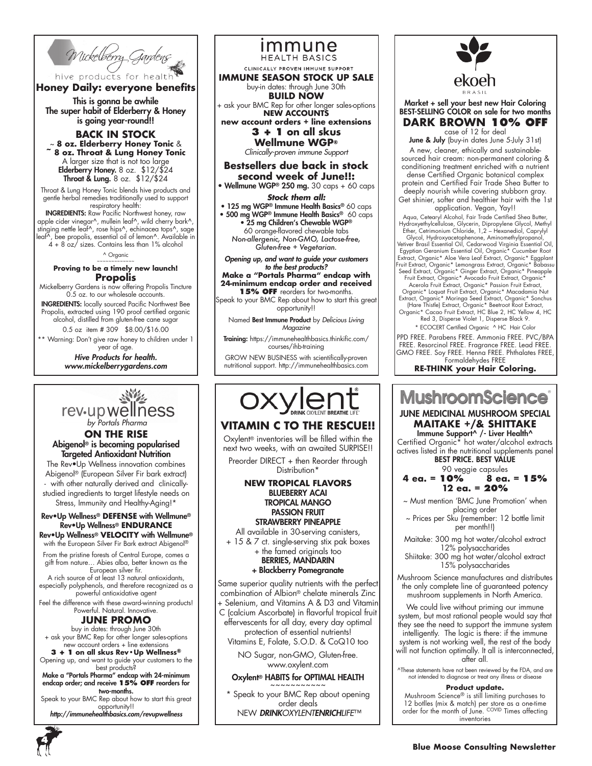

# **Honey Daily: everyone benefits**

This is gonna be awhile The super habit of Elderberry & Honey is going year-round!!

**BACK IN STOCK** ~ **8 oz. Elderberry Honey Tonic** & **~ 8 oz. Throat & Lung Honey Tonic** A larger size that is not too large Elderberry Honey. 8 oz. \$12/\$24 Throat & Lung. 8 oz. \$12/\$24

Throat & Lung Honey Tonic blends hive products and gentle herbal remedies traditionally used to support respiratory health:

INGREDIENTS: Raw Pacific Northwest honey, raw apple cider vinegar^, mullein leaf^, wild cherry bark^, stinging nettle leaf^, rose hips^, echinacea tops^, sage leaf^, bee propolis, essential oil of lemon^. Available in 4 + 8 oz/ sizes. Contains less than 1% alcohol

^ Organic

#### ~~~~~~~~~~~~~ **Proving to be a timely new launch! Propolis**

Mickelberry Gardens is now offering Propolis Tincture 0.5 oz. to our wholesale accounts.

INGREDIENTS: locally sourced Pacific Northwest Bee Propolis, extracted using 190 proof certified organic alcohol, distilled from gluten-free cane sugar 0.5 oz item # 309 \$8.00/\$16.00

\*\* Warning: Don't give raw honey to children under 1 year of age.

> *Hive Products for health. www.mickelberrygardens.com*



**ON THE RISE** Abigenol® is becoming popularised Targeted Antioxidant Nutrition

The Rev•Up Wellness innovation combines Abigenol® (European Silver Fir bark extract) - with other naturally derived and clinicallystudied ingredients to target lifestyle needs on Stress, Immunity and Healthy-Aging!\*

# Rev•Up Wellness® **DEFENSE** with Wellmune® Rev•Up Wellness® **ENDURANCE**

Rev•Up Wellness® **VELOCITY** with Wellmune® with the European Silver Fir Bark extract Abigenol®

From the pristine forests of Central Europe, comes a gift from nature... Abies alba, better known as the European silver fir.

A rich source of at least 13 natural antioxidants, especially polyphenols, and therefore recognized as a powerful antioxidative agent

Feel the difference with these award-winning products! Powerful. Natural. Innovative.

### **JUNE PROMO**

buy in dates: through June 30th + ask your BMC Rep for other longer sales-options new account orders + line extensions

**3 + 1 on all skus Rev•Up Wellness®** Opening up, and want to guide your customers to the

best products? Make a "Portals Pharma" endcap with 24-minimum endcap order; and receive **15% OFF** reorders for two-months.

Speak to your BMC Rep about how to start this great opportunity!!

*http://immunehealthbasics.com/revupwellness*

immune **HEALTH BASICS** CLINICALLY PROVEN IMMUNE SUPPORT

**IMMUNE SEASON STOCK UP SALE** buy-in dates: through June 30th **BUILD NOW**

+ ask your BMC Rep for other longer sales-options **NEW ACCOUNTS new account orders + line extensions**

**3 + 1 on all skus Wellmune WGP®** 

*Clinically-proven immune Support*

**Bestsellers due back in stock second week of June!!:** 

• Wellmune WGP® 250 mg. 30 caps + 60 caps *Stock them all:*

• 125 mg WGP® Immune Health Basics® 60 caps • 500 mg WGP® Immune Health Basics® 60 caps • 25 mg Children's Chewable WGP® 60 orange-flavored chewable tabs *Non-allergenic, Non-GMO, Lactose-free, Gluten-free + Vegetarian.*

*Opening up, and want to guide your customers to the best products?* **Make a "Portals Pharma" endcap with 24-minimum endcap order and received** 

**15% OFF** reorders for two-months. Speak to your BMC Rep about how to start this great opportunity!!

Named Best Immune Product by *Delicious Living Magazine*

Training: https://immunehealthbasics.thinkific.com/ courses/ihb-training

GROW NEW BUSINESS with scientifically-proven nutritional support. http://immunehealthbasics.com



# **VITAMIN C TO THE RESCUE!!**

Oxylent® inventories will be filled within the next two weeks, with an awaited SURPISE!!

Preorder DIRECT + then Reorder through Distribution<sup>\*</sup>

### **NEW TROPICAL FLAVORS** BLUEBERRY ACAI TROPICAL MANGO PASSION FRUIT STRAWBERRY PINEAPPLE

All available in 30-serving canisters,

+ 15 & 7 ct. single-serving stix pak boxes + the famed originals too

BERRIES, MANDARIN

+ Blackberry Pomegranate

Same superior quality nutrients with the perfect combination of Albion® chelate minerals Zinc + Selenium, and Vitamins A & D3 and Vitamin

C (calcium Ascorbate) in flavorful tropical fruit effervescents for all day, every day optimal

protection of essential nutrients!

Vitamins E, Folate, S.O.D. & CoQ10 too NO Sugar, non-GMO, Gluten-free.

www.oxylent.com

# Oxylent<sup>®</sup> HABITS for OPTIMAL HEALTH

\* Speak to your BMC Rep about opening order deals NEW *DRINKOXYLENTENRICHLIFE*™



Market + sell your best new Hair Coloring BEST-SELLING COLOR on sale for two months **DARK BROWN 10% OFF**

case of 12 for deal

June & July (buy-in dates June 5-July 31st) A new, cleaner, ethically and sustainablesourced hair cream: non-permanent coloring & conditioning treatment enriched with a nutrient dense Certified Organic botanical complex protein and Certified Fair Trade Shea Butter to deeply nourish while covering stubborn gray. Get shinier, softer and healthier hair with the 1st

application. Vegan, Yay!!

Aqua, Cetearyl Alcohol, Fair Trade Certified Shea Butter, Hydroxyethylcellulose, Glycerin, Dipropylene Glycol, Methyl Ether, Cetrimonium Chloride, 1,2 – Hexanediol, Caprylyl Glycol, Hydroxyacetophenone, Aminomethylpropanol,

Vetiver Brasil Essential Oil, Cedarwood Virginia Essential Oil, Egyptian Geranium Essential Oil, Organic\* Cucumber Root Extract, Organic\* Aloe Vera Leaf Extract, Organic\* Eggplant Fruit Extract, Organic\* Lemongrass Extract, Organic\* Babassu Seed Extract, Organic\* Ginger Extract, Organic\* Pineapple Fruit Extract, Organic\* Avocado Fruit Extract, Organic\*

Acerola Fruit Extract, Organic\* Passion Fruit Extract, Organic\* Loquat Fruit Extract, Organic\* Macadamia Nut Extract, Organic\* Moringa Seed Extract, Organic\* Sonchus (Hare Thistle) Extract, Organic\* Beetroot Root Extract, Organic\* Cacao Fruit Extract, HC Blue 2, HC Yellow 4, HC

Red 3, Disperse Violet 1, Disperse Black 9.

\* ECOCERT Certified Organic ^ HC Hair Color PPD FREE. Parabens FREE. Ammonia FREE. PVC/BPA FREE. Resorcinol FREE. Fragrance FREE. Lead FREE.

GMO FREE. Soy FREE. Henna FREE. Phthalates FREE, Formaldehydes FREE

**RE-THINK your Hair Coloring.**

# **MushroomScience** JUNE MEDICINAL MUSHROOM SPECIAL **MAITAKE +/& SHITTAKE**

Immune Support^ /- Liver Health^ Certified Organic\* hot water/alcohol extracts

actives listed in the nutritional supplements panel BEST PRICE. BEST VALUE

- 90 veggie capsules<br>**4 ea. = 10%** 8 e**a. 4 ea. = 10% 8 ea. = 15% 12 ea. = 20%**
- ~ Must mention 'BMC June Promotion' when placing order
- ~ Prices per Sku (remember: 12 bottle limit per month!!)
- Maitake: 300 mg hot water/alcohol extract 12% polysaccharides
- Shiitake: 300 mg hot water/alcohol extract 15% polysaccharides

Mushroom Science manufactures and distributes the only complete line of guaranteed potency mushroom supplements in North America.

We could live without priming our immune system, but most rational people would say that they see the need to support the immune system intelligently. The logic is there: if the immune system is not working well, the rest of the body will not function optimally. It all is interconnected, after all.

^These statements have not been reviewed by the FDA, and are not intended to diagnose or treat any illness or disease

### **Product update.**

Mushroom Science<sup>®</sup> is still limiting purchases to 12 botlles (mix & match) per store as a one-time order for the month of June. COVID Times affecting inventories

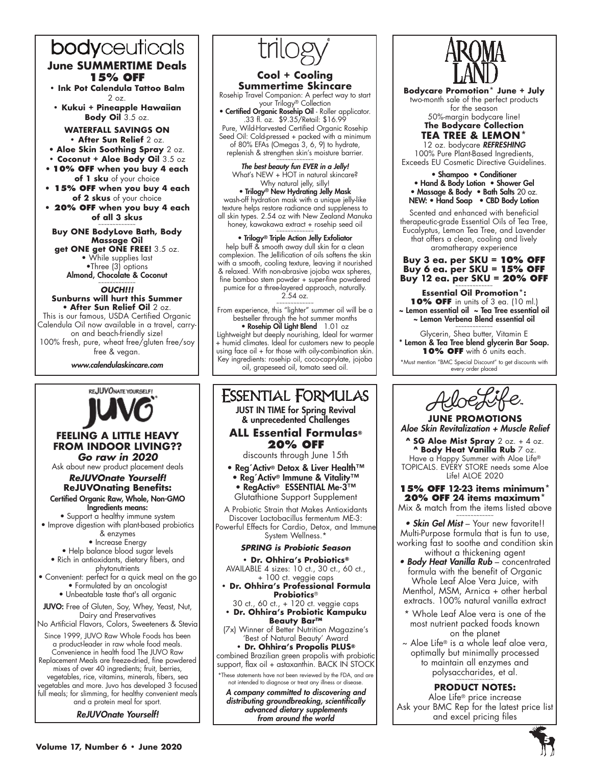# bodyceuticals **June SUMMERTIME Deals 15% OFF**

**• Ink Pot Calendula Tattoo Balm**   $20z$ 

**• Kukui + Pineapple Hawaiian Body Oil** 3.5 oz.

**WATERFALL SAVINGS ON • After Sun Relief** 2 oz.

- • **Aloe Skin Soothing Spray** 2 oz.
- **Coconut + Aloe Body Oil** 3.5 oz • **10% OFF when you buy 4 each**
- **of 1 sku** of your choice
- **15% OFF when you buy 4 each of 2 skus** of your choice
- **20% OFF when you buy 4 each of all 3 skus** ~~~~~~~~~~~~~

**Buy ONE BodyLove Bath, Body Massage Oil get ONE get ONE FREE!** 3.5 oz.

• While supplies last •Three (3) options Almond, Chocolate & Coconut

~~~~~~~~~~~~~ *OUCH!!!*

#### **Sunburns will hurt this Summer** • **After Sun Relief Oil** 2 oz.

This is our famous, USDA Certified Organic Calendula Oil now available in a travel, carryon and beach-friendly size! 100% fresh, pure, wheat free/gluten free/soy free & vegan.

*www.calendulaskincare.com*



### **FEELING A LITTLE HEAVY FROM INDOOR LIVING??** *Go raw in 2020*

Ask about new product placement deals

*ReJUVOnate Yourself!* **ReJUVOnating Benefits:**

Certified Organic Raw, Whole, Non-GMO Ingredients means:

• Support a healthy immune system • Improve digestion with plant-based probiotics

& enzymes

• Increase Energy

• Help balance blood sugar levels

- Rich in antioxidants, dietary fibers, and phytonutrients
- Convenient: perfect for a quick meal on the go • Formulated by an oncologist • Unbeatable taste that's all organic
- JUVO: Free of Gluten, Soy, Whey, Yeast, Nut, Dairy and Preservatives
- No Artificial Flavors, Colors, Sweeteners & Stevia

Since 1999, JUVO Raw Whole Foods has been a product-leader in raw whole food meals. Convenience in health food The JUVO Raw

Replacement Meals are freeze-dried, fine powdered mixes of over 40 ingredients; fruit, berries, vegetables, rice, vitamins, minerals, fibers, sea vegetables and more. Juvo has developed 3 focused

full meals; for slimming, for healthy convenient meals and a protein meal for sport.

*ReJUVOnate Yourself!*



### **Cool + Cooling Summertime Skincare**

Rosehip Travel Companion: A perfect way to start your Trilogy® Collection

• Certified Organic Rosehip Oil - Roller applicator. .33 fl. oz. \$9.35/Retail: \$16.99 Pure, Wild-Harvested Certified Organic Rosehip Seed Oil: Cold-pressed + packed with a minimum of 80% EFAs (Omegas 3, 6, 9) to hydrate, replenish & strengthen skin's moisture barrier.

~~~~~~~~~~~~~ *The best beauty fun EVER in a Jelly!* What's NEW + HOT in natural skincare? Why natural jelly, silly! • Trilogy® New Hydrating Jelly Mask

wash-off hydration mask with a unique jelly-like texture helps restore radiance and suppleness to all skin types. 2.54 oz with New Zealand Manuka honey, kawakawa extract + rosehip seed oil

# • Trilogy® Triple Action Jelly Exfoliator

help buff & smooth away dull skin for a clean complexion. The Jellification of oils softens the skin with a smooth, cooling texture, leaving it nourished & relaxed. With non-abrasive jojoba wax spheres, fine bamboo stem powder + super-fine powdered pumice for a three-layered approach, naturally. 2.54 oz.

~~~~~~~~~~~~~

From experience, this "lighter" summer oil will be a bestseller through the hot summer months

• Rosehip Oil Light Blend 1.01 oz Lightweight but deeply nourishing, Ideal for warmer + humid climates. Ideal for customers new to people using face oil + for those with oily-combination skin. Key ingredients: rosehip oil, coco-caprylate, jojoba oil, grapeseed oil, tomato seed oil.

### **ESSENTIAL FORMULAS** JUST IN TIME for Spring Revival & unprecedented Challenges **ALL Essential Formulas® 20% OFF** discounts through June 15th • Reg´Activ® Detox & Liver Health™ • Reg´Activ® Immune & Vitality™ • RegActiv® ESSENTIAL Me-3™ Glutathione Support Supplement A Probiotic Strain that Makes Antioxidants Discover Lactobacillus fermentum ME-3: Powerful Effects for Cardio, Detox, and Immune System Wellness.\* *SPRING is Probiotic Season* **• Dr. Ohhira's Probiotics®** AVAILABLE 4 sizes: 10 ct., 30 ct., 60 ct., + 100 ct. veggie caps **• Dr. Ohhira's Professional Formula Probiotics**® 30 ct., 60 ct., + 120 ct. veggie caps **• Dr. Ohhira's Probiotic Kampuku Beauty Bar™**  (7x) Winner of Better Nutrition Magazine's 'Best of Natural Beauty' Award **• Dr. Ohhira's Propolis PLUS®**

combined Brazilian green propolis with probiotic support, flax oil + astaxanthin. BACK IN STOCK

not intended to diagnose or treat any illness or disease.

*A company committed to discovering and distributing groundbreaking, scientifically advanced dietary supplements from around the world*



**Bodycare Promotion\* June + July** two-month sale of the perfect products for the season

50%-margin bodycare line! **The Bodycare Collection TEA TREE & LEMON\*** 

12 oz. bodycare *REFRESHING* 100% Pure Plant-Based Ingredients, Exceeds EU Cosmetic Directive Guidelines.

• Shampoo • Conditioner • Hand & Body Lotion • Shower Gel • Massage & Body • Bath Salts 20 oz. NEW: • Hand Soap • CBD Body Lotion

Scented and enhanced with beneficial therapeutic-grade Essential Oils of Tea Tree, Eucalyptus, Lemon Tea Tree, and Lavender that offers a clean, cooling and lively aromatherapy experience

### **Buy 3 ea. per SKU = 10% OFF Buy 6 ea. per SKU = 15% OFF Buy 12 ea. per SKU = 20% OFF**

**Essential Oil Promotion\*: 10% OFF** in units of 3 ea. (10 ml.) ~ Lemon essential oil ~ Tea Tree essential oil ~ Lemon Verbena Blend essential oil ~~~~~~~~~~~~~

Glycerin, Shea butter, Vitamin E \* Lemon & Tea Tree blend glycerin Bar Soap. 10% OFF with 6 units each.

\*Must mention "BMC Special Discount" to get discounts with every order placed



**JUNE PROMOTIONS** *Aloe Skin Revitalization + Muscle Relief*

**^ SG Aloe Mist Spray** 2 oz. + 4 oz. **^ Body Heat Vanilla Rub** 7 oz. Have a Happy Summer with Aloe Life® TOPICALS. EVERY STORE needs some Aloe Life! ALOE 2020

**15% OFF 12-23 items minimum\* 20% OFF 24 items maximum\*** Mix & match from the items listed above

~~~~~~~~~~~~~ *• Skin Gel Mist* – Your new favorite!! Multi-Purpose formula that is fun to use, working fast to soothe and condition skin without a thickening agent

- *Body Heat Vanilla Rub*  concentrated formula with the benefit of Organic Whole Leaf Aloe Vera Juice, with Menthol, MSM, Arnica + other herbal extracts. 100% natural vanilla extract
- \* Whole Leaf Aloe vera is one of the most nutrient packed foods known on the planet
- ~ Aloe Life® is a whole leaf aloe vera, optimally but minimally processed to maintain all enzymes and polysaccharides, et al. ~~~~~~~~~~~~~

# **PRODUCT NOTES:**

Aloe Life® price increase Ask your BMC Rep for the latest price list and excel pricing files



\*These statements have not been reviewed by the FDA, and are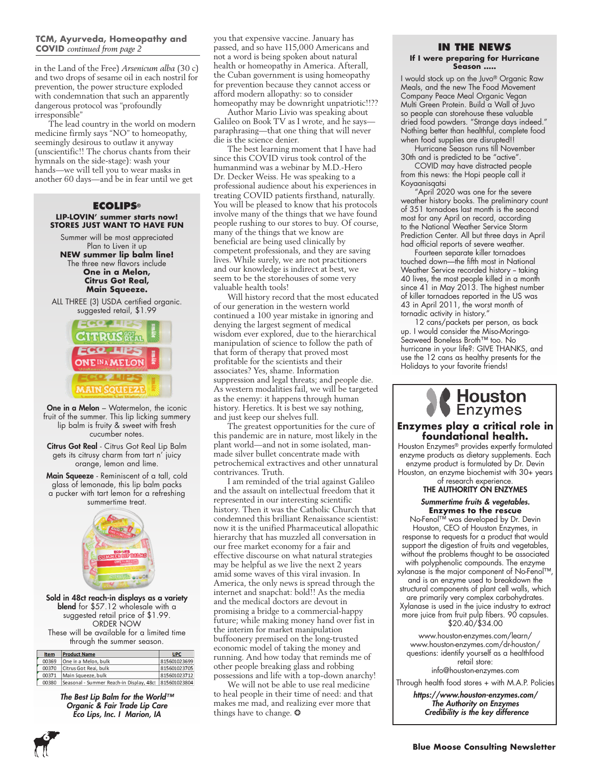### **TCM, Ayurveda, Homeopathy and COVID** *continued from page 2*

in the Land of the Free) *Arsenicum alba* (30 c) and two drops of sesame oil in each nostril for prevention, the power structure exploded with condemnation that such an apparently dangerous protocol was "profoundly irresponsible"

The lead country in the world on modern medicine firmly says "NO" to homeopathy, seemingly desirous to outlaw it anyway (unscientific!! The chorus chants from their hymnals on the side-stage): wash your hands—we will tell you to wear masks in another 60 days—and be in fear until we get

### **ECOLIPS® LIP-LOVIN' summer starts now! STORES JUST WANT TO HAVE FUN**

Summer will be most appreciated Plan to Liven it up **NEW summer lip balm line!** The three new flavors include

**One in a Melon, Citrus Got Real, Main Squeeze.** 

ALL THREE (3) USDA certified organic. suggested retail, \$1.99



**One in a Melon** – Watermelon, the iconic fruit of the summer. This lip licking summery lip balm is fruity & sweet with fresh cucumber notes.

Citrus Got Real - Citrus Got Real Lip Balm gets its citrusy charm from tart n' juicy orange, lemon and lime.

Main Squeeze - Reminiscent of a tall, cold glass of lemonade, this lip balm packs a pucker with tart lemon for a refreshing summertime treat.



Sold in 48ct reach-in displays as a variety blend for \$57.12 wholesale with a suggested retail price of \$1.99. ORDER NOW These will be available for a limited time through the summer season.

| <b>Item</b> | <b>Product Name</b>                      | <b>UPC</b>   |
|-------------|------------------------------------------|--------------|
| 00369       | One in a Melon, bulk                     | 815601023699 |
| 00370       | Citrus Got Real, bulk                    | 815601023705 |
| 00371       | Main Squeeze, bulk                       | 815601023712 |
| 00380       | Seasonal - Summer Reach-in Display, 48ct | 815601023804 |

*The Best Lip Balm for the World™ Organic & Fair Trade Lip Care Eco Lips, Inc. I Marion, IA*

**6**

you that expensive vaccine. January has passed, and so have 115,000 Americans and not a word is being spoken about natural health or homeopathy in America. Afterall, the Cuban government is using homeopathy for prevention because they cannot access or afford modern allopathy: so to consider homeopathy may be downright unpatriotic!!??

Author Mario Livio was speaking about Galileo on Book TV as I wrote, and he says paraphrasing—that one thing that will never die is the science denier.

The best learning moment that I have had since this COVID virus took control of the humanmind was a webinar by M.D.-Hero Dr. Decker Weiss. He was speaking to a professional audience about his experiences in treating COVID patients firsthand, naturally. You will be pleased to know that his protocols involve many of the things that we have found people rushing to our stores to buy. Of course, many of the things that we know are beneficial are being used clinically by competent professionals, and they are saving lives. While surely, we are not practitioners and our knowledge is indirect at best, we seem to be the storehouses of some very valuable health tools!

Will history record that the most educated of our generation in the western world continued a 100 year mistake in ignoring and denying the largest segment of medical wisdom ever explored, due to the hierarchical manipulation of science to follow the path of that form of therapy that proved most profitable for the scientists and their associates? Yes, shame. Information suppression and legal threats; and people die. As western modalities fail, we will be targeted as the enemy: it happens through human history. Heretics. It is best we say nothing, and just keep our shelves full.

The greatest opportunities for the cure of this pandemic are in nature, most likely in the plant world—and not in some isolated, manmade silver bullet concentrate made with petrochemical extractives and other unnatural contrivances. Truth.

I am reminded of the trial against Galileo and the assault on intellectual freedom that it represented in our interesting scientific history. Then it was the Catholic Church that condemned this brilliant Renaissance scientist: now it is the unified Pharmaceutical allopathic hierarchy that has muzzled all conversation in our free market economy for a fair and effective discourse on what natural strategies may be helpful as we live the next 2 years amid some waves of this viral invasion. In America, the only news is spread through the internet and snapchat: bold!! As the media and the medical doctors are devout in promising a bridge to a commercial-happy future; while making money hand over fist in the interim for market manipulation buffoonery premised on the long-trusted economic model of taking the money and running. And how today that reminds me of other people breaking glass and robbing possessions and life with a top-down anarchy!

We will not be able to use real medicine to heal people in their time of need: and that makes me mad, and realizing ever more that things have to change.  $\odot$ 

# **IN THE NEWS**

#### **If I were preparing for Hurricane Season …..**

I would stock up on the Juvo® Organic Raw Meals, and the new The Food Movement Company Peace Meal Organic Vegan Multi Green Protein. Build a Wall of Juvo so people can storehouse these valuable dried food powders. "Strange days indeed." Nothing better than healthful, complete food when food supplies are disrupted!!

Hurricane Season runs till November 30th and is predicted to be "active".

COVID may have distracted people from this news: the Hopi people call it Koyaanisqatsi

"April 2020 was one for the severe weather history books. The preliminary count of 351 tornadoes last month is the second most for any April on record, according to the National Weather Service Storm Prediction Center. All but three days in April had official reports of severe weather.

Fourteen separate killer tornadoes touched down—the fifth most in National Weather Service recorded history - taking 40 lives, the most people killed in a month since 41 in May 2013. The highest number of killer tornadoes reported in the US was 43 in April 2011, the worst month of tornadic activity in history."

12 cans/packets per person, as back up. I would consider the Miso-Moringa-Seaweed Boneless Broth™ too. No hurricane in your life?: GIVE THANKS, and use the 12 cans as healthy presents for the Holidays to your favorite friends!



### **Enzymes play a critical role in foundational health.**

Houston Enzymes® provides expertly formulated enzyme products as dietary supplements. Each enzyme product is formulated by Dr. Devin Houston, an enzyme biochemist with 30+ years of research experience.

### THE AUTHORITY ON ENZYMES

### *Summertime fruits & vegetables.* **Enzymes to the rescue**

No-Fenol™️ was developed by Dr. Devin Houston, CEO of Houston Enzymes, in response to requests for a product that would support the digestion of fruits and vegetables, without the problems thought to be associated with polyphenolic compounds. The enzyme xylanase is the major component of No-Fenol™, and is an enzyme used to breakdown the structural components of plant cell walls, which are primarily very complex carbohydrates.

Xylanase is used in the juice industry to extract more juice from fruit pulp fibers. 90 capsules. \$20.40/\$34.00

www.houston-enzymes.com/learn/ www.houston-enzymes.com/dr-houston/ questions: identify yourself as a healthfood retail store: info@houston-enzymes.com

Through health food stores + with M.A.P. Policies

*https://www.houston-enzymes.com/ The Authority on Enzymes Credibility is the key difference*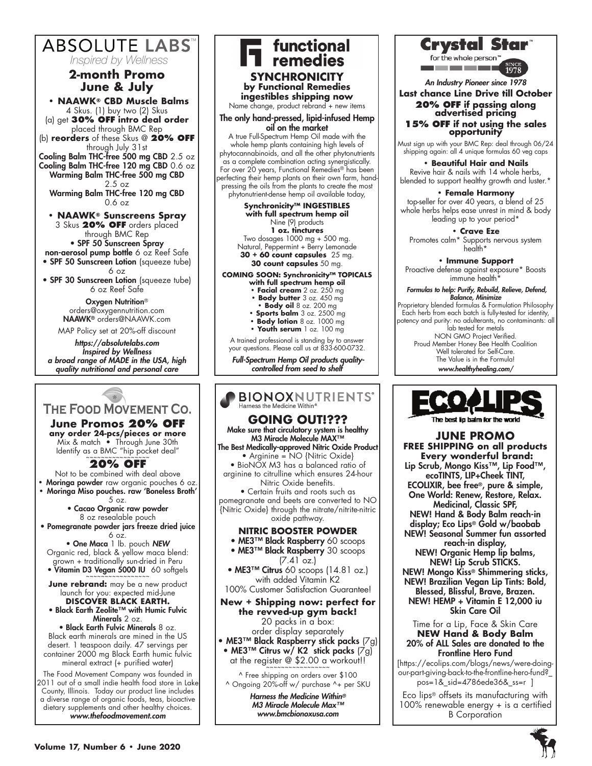# **ABSOLUTE LABS** *Inspired by Wellness*

# **2-month Promo June & July**

**• NAAWK® CBD Muscle Balms** 4 Skus. (1) buy two (2) Skus (a) get **30% OFF intro deal order**  placed through BMC Rep (b) **reorders** of these Skus @ **20% OFF** through July 31st Cooling Balm THC-free 500 mg CBD 2.5 oz Cooling Balm THC-free 120 mg CBD 0.6 oz Warming Balm THC-free 500 mg CBD 2.5 oz Warming Balm THC-free 120 mg CBD 0.6 oz

**• NAAWK® Sunscreens Spray** 3 Skus **20% OFF** orders placed through BMC Rep • SPF 50 Sunscreen Spray non-aerosol pump bottle 6 oz Reef Safe

• SPF 50 Sunscreen Lotion (squeeze tube) 6 oz

• SPF 30 Sunscreen Lotion (squeeze tube) 6 oz Reef Safe

> Oxygen Nutrition® orders@oxygennutrition.com NAAWK® orders@NAAWK.com MAP Policy set at 20%-off discount

*https://absolutelabs.com Inspired by Wellness a broad range of MADE in the USA, high quality nutritional and personal care* 

### $*$ THE FOOD MOVEMENT CO.

**June Promos 20% OFF any order 24-pcs/pieces or more** Mix & match • Through June 30th Identify as a BMC "hip pocket deal"

# **20% OFF**

Not to be combined with deal above **•** Moringa powder raw organic pouches 6 oz. **•** Moringa Miso pouches. raw 'Boneless Broth' 5 oz.

• Cacao Organic raw powder 8 oz resealable pouch

• Pomegranate powder jars freeze dried juice 6 oz.

• One Maca 1 lb. pouch *NEW* Organic red, black & yellow maca blend: grown + traditionally sun-dried in Peru • Vitamin D3 Vegan 5000 IU 60 softgels

**June rebrand:** may be a new product launch for you: expected mid-June

**DISCOVER BLACK EARTH.**  • Black Earth Zeolite™ with Humic Fulvic Minerals 2 oz.

• Black Earth Fulvic Minerals 8 oz. Black earth minerals are mined in the US desert. 1 teaspoon daily. 47 servings per container 2000 mg Black Earth humic fulvic mineral extract (+ purified water)

The Food Movement Company was founded in 2011 out of a small indie health food store in Lake County, Illinois. Today our product line includes a diverse range of organic foods, teas, bioactive dietary supplements and other healthy choices. *www.thefoodmovement.com*

### T functional<br>T remedies **SYNCHRONICITY by Functional Remedies ingestibles shipping now** Name change, product rebrand + new items The only hand-pressed, lipid-infused Hemp oil on the market A true Full-Spectrum Hemp Oil made with the whole hemp plants containing high levels of phytocannabinoids, and all the other phytonutrients as a complete combination acting synergistically. For over 20 years, Functional Remedies® has been perfecting their hemp plants on their own farm, handpressing the oils from the plants to create the most phytonutrient-dense hemp oil available today, **Synchronicity™ INGESTIBLES with full spectrum hemp oil**  Nine (9) products **1 oz. tinctures**

Two dosages 1000 mg + 500 mg. Natural, Peppermint + Berry Lemonade **30 + 60 count capsules** 25 mg. **30 count capsules** 50 mg.

#### **COMING SOON: Synchronicity™ TOPICALS with full spectrum hemp oil**

- **Facial cream** 2 oz. 250 mg
- **Body butter** 3 oz. 450 mg
- **Body oil** 8 oz. 200 mg
- **Sports balm** 3 oz. 2500 mg
- **Body lotion** 8 oz. 1000 mg **• Youth serum** 1 oz. 100 mg
- 

A trained professional is standing by to answer your questions. Please call us at 833-600-0732.

 *Full-Spectrum Hemp Oil products qualitycontrolled from seed to shelf*

### **BIONOXNUTRIENTS'** Harness the Medicine Within®

# **GOING OUT!???**

Make sure that circulatory system is healthy M3 Miracle Molecule MAX™

The Best Medically-approved Nitric Oxide Product • Arginine = NO {Nitric Oxide}

• BioNOX M3 has a balanced ratio of arginine to citrulline which ensures 24-hour Nitric Oxide benefits.

• Certain fruits and roots such as pomegranate and beets are converted to NO {Nitric Oxide} through the nitrate/nitrite-nitric oxide pathway.

# **NITRIC BOOSTER POWDER**

• ME3™ Black Raspberry 60 scoops

• ME3™ Black Raspberry 30 scoops (7.41 oz.)

• ME3™ Citrus 60 scoops (14.81 oz.) with added Vitamin K2

100% Customer Satisfaction Guarantee!

**New + Shipping now: perfect for the revved-up gym back!** 20 packs in a box:

order display separately • ME3™ Black Raspberry stick packs (7g) • ME3™ Citrus w/ K2 stick packs (7g) at the register  $@$  \$2.00 a workout!!

^ Free shipping on orders over \$100 ^ Ongoing 20%-off w/ purchase ^+ per SKU

> *Harness the Medicine Within® M3 Miracle Molecule Max™ www.bmcbionoxusa.com*



for the whole person <u>a sa sa sa sa sa sa s</u>



*An Industry Pioneer since 1978*

# **Last chance Line Drive till October 20% OFF if passing along advertised pricing**

### **15% OFF if not using the sales opportunity**

Must sign up with your BMC Rep: deal through 06/24 shipping again: all 4 unique formulas 60 veg caps

**• Beautiful Hair and Nails** 

Revive hair & nails with 14 whole herbs, blended to support healthy growth and luster.\*

### **• Female Harmony**

top-seller for over 40 years, a blend of 25 whole herbs helps ease unrest in mind & body leading up to your period\*

**• Crave Eze**  Promotes calm\* Supports nervous system health\*

**• Immune Support**

Proactive defense against exposure\* Boosts immune health<sup>\*</sup>

#### *Formulas to help: Purify, Rebuild, Relieve, Defend, Balance, Minimize*

Proprietary blended formulas & Formulation Philosophy Each herb from each batch is fully-tested for identity, potency and purity: no adulterants, no contaminants: all lab tested for metals NON GMO Project Verified. Proud Member Honey Bee Health Coalition Well tolerated for Self-Care. The Value is in the Formula!

*www.healthyhealing.com/*



### **JUNE PROMO FREE SHIPPING on all products Every wonderful brand:** Lip Scrub, Mongo Kiss™, Lip Food™,

ecoTINTS, LIP+Cheek TINT, ECOLIXIR, bee free®, pure & simple, One World: Renew, Restore, Relax. Medicinal, Classic SPF,

NEW! Hand & Body Balm reach-in display; Eco Lips® Gold w/baobab NEW! Seasonal Summer fun assorted

reach-in display, NEW! Organic Hemp lip balms, NEW! Lip Scrub STICKS.

NEW! Mongo Kiss® Shimmering sticks, NEW! Brazilian Vegan Lip Tints: Bold, Blessed, Blissful, Brave, Brazen. NEW! HEMP + Vitamin E 12,000 iu

Skin Care Oil

#### Time for a Lip, Face & Skin Care **NEW Hand & Body Balm** 20% of ALL Sales are donated to the Frontline Hero Fund

[https://ecolips.com/blogs/news/were-doingour-part-giving-back-to-the-frontline-hero-fund?\_ pos=1&\_sid=4786ede36&\_ss=r ]

Eco lips® offsets its manufacturing with 100% renewable energy + is a certified B Corporation

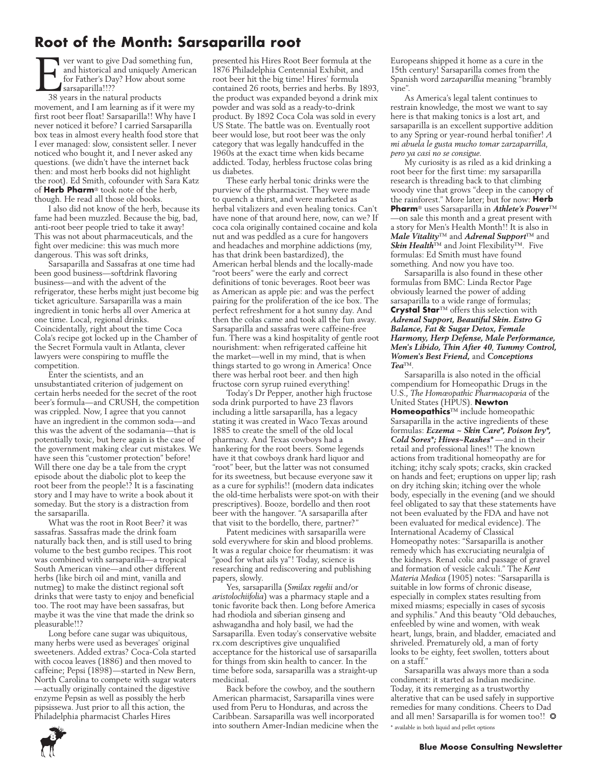# **Root of the Month: Sarsaparilla root**

Fournant to give Dad something fun,<br>and historical and uniquely American<br>for Father's Day? How about some<br>sarsaparilla!!??<br>38 years in the natural products and historical and uniquely American for Father's Day? How about some sarsaparilla!!??

38 years in the natural products movement, and I am learning as if it were my first root beer float! Sarsaparilla!! Why have I never noticed it before? I carried Sarsaparilla box teas in almost every health food store that I ever managed: slow, consistent seller. I never noticed who bought it, and I never asked any questions. (we didn't have the internet back then: and most herb books did not highlight the root). Ed Smith, cofounder with Sara Katz of **Herb Pharm**® took note of the herb, though. He read all those old books.

I also did not know of the herb, because its fame had been muzzled. Because the big, bad, anti-root beer people tried to take it away! This was not about pharmaceuticals, and the fight over medicine: this was much more dangerous. This was soft drinks,

Sarsaparilla and Sassafras at one time had been good business—softdrink flavoring business—and with the advent of the refrigerator, these herbs might just become big ticket agriculture. Sarsaparilla was a main ingredient in tonic herbs all over America at one time. Local, regional drinks. Coincidentally, right about the time Coca Cola's recipe got locked up in the Chamber of the Secret Formula vault in Atlanta, clever lawyers were conspiring to muffle the competition.

Enter the scientists, and an unsubstantiated criterion of judgement on certain herbs needed for the secret of the root beer's formula—and CRUSH, the competition was crippled. Now, I agree that you cannot have an ingredient in the common soda—and this was the advent of the sodamania—that is potentially toxic, but here again is the case of the government making clear cut mistakes. We have seen this "customer protection" before! Will there one day be a tale from the crypt episode about the diabolic plot to keep the root beer from the people!? It is a fascinating story and I may have to write a book about it someday. But the story is a distraction from the sarsaparilla.

What was the root in Root Beer? it was sassafras. Sassafras made the drink foam naturally back then, and is still used to bring volume to the best gumbo recipes. This root was combined with sarsaparilla—a tropical South American vine—and other different herbs (like birch oil and mint, vanilla and nutmeg) to make the distinct regional soft drinks that were tasty to enjoy and beneficial too. The root may have been sassafras, but maybe it was the vine that made the drink so pleasurable!!?

Long before cane sugar was ubiquitous, many herbs were used as beverages' original sweeteners. Added extras? Coca-Cola started with cocoa leaves (1886) and then moved to caffeine; Pepsi (1898)—started in New Bern, North Carolina to compete with sugar waters —actually originally contained the digestive enzyme Pepsin as well as possibly the herb pipsissewa. Just prior to all this action, the Philadelphia pharmacist Charles Hires

presented his Hires Root Beer formula at the 1876 Philadelphia Centennial Exhibit, and root beer hit the big time! Hires' formula contained 26 roots, berries and herbs. By 1893, the product was expanded beyond a drink mix powder and was sold as a ready-to-drink product. By 1892 Coca Cola was sold in every US State. The battle was on. Eventually root beer would lose, but root beer was the only category that was legally handcuffed in the 1960s at the exact time when kids became addicted. Today, herbless fructose colas bring us diabetes.

These early herbal tonic drinks were the purview of the pharmacist. They were made to quench a thirst, and were marketed as herbal vitalizers and even healing tonics. Can't have none of that around here, now, can we? If coca cola originally contained cocaine and kola nut and was peddled as a cure for hangovers and headaches and morphine addictions (my, has that drink been bastardized), the American herbal blends and the locally-made "root beers" were the early and correct definitions of tonic beverages. Root beer was as American as apple pie: and was the perfect pairing for the proliferation of the ice box. The perfect refreshment for a hot sunny day. And then the colas came and took all the fun away. Sarsaparilla and sassafras were caffeine-free fun. There was a kind hospitality of gentle root nourishment: when refrigerated caffeine hit the market—well in my mind, that is when things started to go wrong in America! Once there was herbal root beer. and then high fructose corn syrup ruined everything!

Today's Dr Pepper, another high fructose soda drink purported to have 23 flavors including a little sarsaparilla, has a legacy stating it was created in Waco Texas around 1885 to create the smell of the old local pharmacy. And Texas cowboys had a hankering for the root beers. Some legends have it that cowboys drank hard liquor and "root" beer, but the latter was not consumed for its sweetness, but because everyone saw it as a cure for syphilis!! (modern data indicates the old-time herbalists were spot-on with their prescriptives). Booze, bordello and then root beer with the hangover. "A sarsaparilla after that visit to the bordello, there, partner?"

Patent medicines with sarsaparilla were sold everywhere for skin and blood problems. It was a regular choice for rheumatism: it was "good for what ails ya"! Today, science is researching and rediscovering and publishing papers, slowly.

Yes, sarsaparilla (*Smilax regelii* and/or *aristolochiifolia*) was a pharmacy staple and a tonic favorite back then. Long before America had rhodiola and siberian ginseng and ashwagandha and holy basil, we had the Sarsaparilla. Even today's conservative website rx.com descriptives give unqualified acceptance for the historical use of sarsaparilla for things from skin health to cancer. In the time before soda, sarsaparilla was a straight-up medicinal.

Back before the cowboy, and the southern American pharmacist, Sarsaparilla vines were used from Peru to Honduras, and across the Caribbean. Sarsaparilla was well incorporated into southern Amer-Indian medicine when the Europeans shipped it home as a cure in the 15th century! Sarsaparilla comes from the Spanish word *zarzaparillia* meaning "brambly vine".

As America's legal talent continues to restrain knowledge, the most we want to say here is that making tonics is a lost art, and sarsaparilla is an excellent supportive addition to any Spring or year-round herbal tonifier! *A mi abuela le gusta mucho tomar zarzaparrilla, pero ya casi no se consigue.*

My curiosity is as riled as a kid drinking a root beer for the first time: my sarsaparilla research is threading back to that climbing woody vine that grows "deep in the canopy of the rainforest." More later; but for now: **Herb Pharm**® uses Sarsaparilla in *Athlete's Power*™ —on sale this month and a great present with a story for Men's Health Month!! It is also in *Male Vitality*™ and *Adrenal Support*™ and *Skin Health*™ and Joint Flexibility™. Five formulas: Ed Smith must have found something. And now you have too.

Sarsaparilla is also found in these other formulas from BMC: Linda Rector Page obviously learned the power of adding sarsaparilla to a wide range of formulas; **Crystal Star**™ offers this selection with *Adrenal Support, Beautiful Skin. Estro G Balance, Fat & Sugar Detox, Female Harmony, Herp Defense, Male Performance, Men's Libido, Thin After 40*, *Tummy Control, Women's Best Friend,* and *Conceptions Tea*™.

Sarsaparilla is also noted in the official compendium for Homeopathic Drugs in the U.S., *The Homœopathic Pharmacopœia* of the United States (HPUS). **Newton Homeopathics**™ include homeopathic Sarsaparilla in the active ingredients of these formulas: *Eczema ~ Skin Care\*, Poison Ivy\*, Cold Sores\*; Hives~Rashes\** —and in their retail and professional lines!! The known actions from traditional homeopathy are for itching; itchy scaly spots; cracks, skin cracked on hands and feet; eruptions on upper lip; rash on dry itching skin; itching over the whole body, especially in the evening (and we should feel obligated to say that these statements have not been evaluated by the FDA and have not been evaluated for medical evidence). The International Academy of Classical Homeopathy notes: "Sarsaparilla is another remedy which has excruciating neuralgia of the kidneys. Renal colic and passage of gravel and formation of vesicle calculi." The *Kent Materia Medica* (1905) notes: "Sarsaparilla is suitable in low forms of chronic disease, especially in complex states resulting from mixed miasms; especially in cases of sycosis and syphilis." And this beauty "Old debauches, enfeebled by wine and women, with weak heart, lungs, brain, and bladder, emaciated and shriveled. Prematurely old, a man of forty looks to be eighty, feet swollen, totters about on a staff."

Sarsaparilla was always more than a soda condiment: it started as Indian medicine. Today, it its remerging as a trustworthy alterative that can be used safely in supportive remedies for many conditions. Cheers to Dad and all men! Sarsaparilla is for women too!!  $\bullet$ \* available in both liquid and pellet options

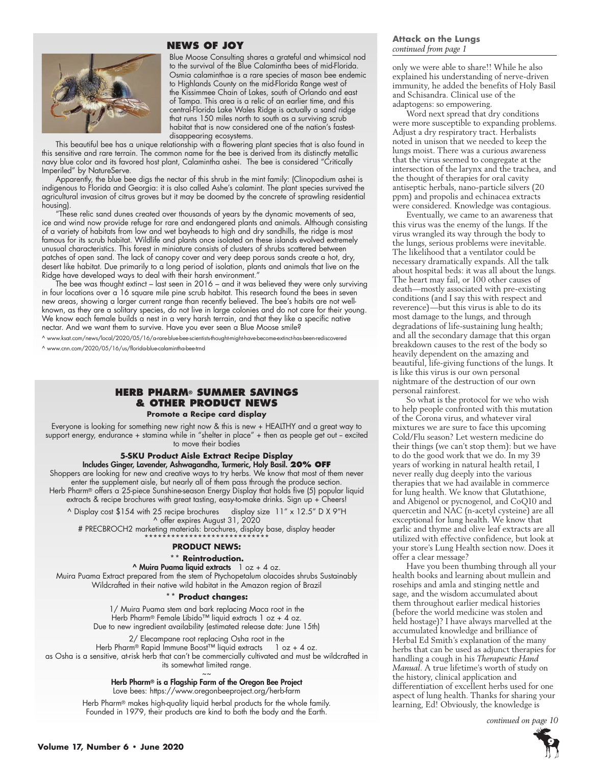# **NEWS OF JOY**



Blue Moose Consulting shares a grateful and whimsical nod to the survival of the Blue Calamintha bees of mid-Florida. Osmia calaminthae is a rare species of mason bee endemic to Highlands County on the mid-Florida Range west of the Kissimmee Chain of Lakes, south of Orlando and east of Tampa. This area is a relic of an earlier time, and this central-Florida Lake Wales Ridge is actually a sand ridge that runs 150 miles north to south as a surviving scrub habitat that is now considered one of the nation's fastestdisappearing ecosystems.

This beautiful bee has a unique relationship with a flowering plant species that is also found in this sensitive and rare terrain. The common name for the bee is derived from its distinctly metallic navy blue color and its favored host plant, Calamintha ashei. The bee is considered "Critically Imperiled" by NatureServe.

Apparently, the blue bee digs the nectar of this shrub in the mint family: (Clinopodium ashei is indigenous to Florida and Georgia: it is also called Ashe's calamint. The plant species survived the agricultural invasion of citrus groves but it may be doomed by the concrete of sprawling residential housing).

"These relic sand dunes created over thousands of years by the dynamic movements of sea, ice and wind now provide refuge for rare and endangered plants and animals. Although consisting of a variety of habitats from low and wet bayheads to high and dry sandhills, the ridge is most famous for its scrub habitat. Wildlife and plants once isolated on these islands evolved extremely unusual characteristics. This forest in miniature consists of clusters of shrubs scattered between patches of open sand. The lack of canopy cover and very deep porous sands create a hot, dry, desert like habitat. Due primarily to a long period of isolation, plants and animals that live on the Ridge have developed ways to deal with their harsh environment.'

The bee was thought extinct – last seen in 2016 – and it was believed they were only surviving in four locations over a 16 square mile pine scrub habitat. This research found the bees in seven new areas, showing a larger current range than recently believed. The bee's habits are not wellknown, as they are a solitary species, do not live in large colonies and do not care for their young. We know each female builds a nest in a very harsh terrain, and that they like a specific native nectar. And we want them to survive. Have you ever seen a Blue Moose smile?

^ www.ksat.com/news/local/2020/05/16/a-rare-blue-bee-scientists-thought-might-have-become-extinct-has-been-rediscovered

^ www.cnn.com/2020/05/16/us/florida-blue-calamintha-bee-trnd

# **HERB PHARM® SUMMER SAVINGS & OTHER PRODUCT NEWS**

**Promote a Recipe card display**

Everyone is looking for something new right now & this is new + HEALTHY and a great way to support energy, endurance + stamina while in "shelter in place" + then as people get out - excited to move their bodies

### **5-SKU Product Aisle Extract Recipe Display** Includes Ginger, Lavender, Ashwagandha, Turmeric, Holy Basil. **20% OFF**

Shoppers are looking for new and creative ways to try herbs. We know that most of them never enter the supplement aisle, but nearly all of them pass through the produce section. Herb Pharm® offers a 25-piece Sunshine-season Energy Display that holds five (5) popular liquid extracts & recipe brochures with great tasting, easy-to-make drinks. Sign up + Cheers!

^ Display cost \$154 with 25 recipe brochures display size 11" x 12.5" D X 9"H ^ offer expires August 31, 2020

# PRECBROCH2 marketing materials: brochures, display base, display header \*\*\*\*\*\*\*\*\*\*\*\*\*\*\*\*\*\*\*\*\*\*\*\*\*\*\*\*

### **PRODUCT NEWS:**

### **\*\* Reintroduction.**

 $^{\circ}$  Muira Puama liquid extracts  $1 \text{ oz} + 4 \text{ oz}$ . Muira Puama Extract prepared from the stem of Ptychopetalum olacoides shrubs Sustainably Wildcrafted in their native wild habitat in the Amazon region of Brazil

### **\*\* Product changes:**

1/ Muira Puama stem and bark replacing Maca root in the Herb Pharm® Female Libido™ liquid extracts 1 oz + 4 oz. Due to new ingredient availability (estimated release date: June 15th)

2/ Elecampane root replacing Osha root in the

Herb Pharm® Rapid Immune Boost™ liquid extracts 1 oz + 4 oz. as Osha is a sensitive, at-risk herb that can't be commercially cultivated and must be wildcrafted in its somewhat limited range.

> $\sim$   $\sim$ Herb Pharm® is a Flagship Farm of the Oregon Bee Project

Love bees: https://www.oregonbeeproject.org/herb-farm

Herb Pharm® makes high-quality liquid herbal products for the whole family. Founded in 1979, their products are kind to both the body and the Earth.

### **Attack on the Lungs**  *continued from page 1*

only we were able to share!! While he also explained his understanding of nerve-driven immunity, he added the benefits of Holy Basil and Schisandra. Clinical use of the adaptogens: so empowering.

Word next spread that dry conditions were more susceptible to expanding problems. Adjust a dry respiratory tract. Herbalists noted in unison that we needed to keep the lungs moist. There was a curious awareness that the virus seemed to congregate at the intersection of the larynx and the trachea, and the thought of therapies for oral cavity antiseptic herbals, nano-particle silvers (20 ppm) and propolis and echinacea extracts were considered. Knowledge was contagious.

Eventually, we came to an awareness that this virus was the enemy of the lungs. If the virus wrangled its way through the body to the lungs, serious problems were inevitable. The likelihood that a ventilator could be necessary dramatically expands. All the talk about hospital beds: it was all about the lungs. The heart may fail, or 100 other causes of death—mostly associated with pre-existing conditions (and I say this with respect and reverence)—but this virus is able to do its most damage to the lungs, and through degradations of life-sustaining lung health; and all the secondary damage that this organ breakdown causes to the rest of the body so heavily dependent on the amazing and beautiful, life-giving functions of the lungs. It is like this virus is our own personal nightmare of the destruction of our own personal rainforest.

So what is the protocol for we who wish to help people confronted with this mutation of the Corona virus, and whatever viral mixtures we are sure to face this upcoming Cold/Flu season? Let western medicine do their things (we can't stop them): but we have to do the good work that we do. In my 39 years of working in natural health retail, I never really dug deeply into the various therapies that we had available in commerce for lung health. We know that Glutathione, and Abigenol or pycnogenol, and CoQ10 and quercetin and NAC (n-acetyl cysteine) are all exceptional for lung health. We know that garlic and thyme and olive leaf extracts are all utilized with effective confidence, but look at your store's Lung Health section now. Does it offer a clear message?

Have you been thumbing through all your health books and learning about mullein and rosehips and amla and stinging nettle and sage, and the wisdom accumulated about them throughout earlier medical histories (before the world medicine was stolen and held hostage)? I have always marvelled at the accumulated knowledge and brilliance of Herbal Ed Smith's explanation of the many herbs that can be used as adjunct therapies for handling a cough in his *Therapeutic Hand Manual*. A true lifetime's worth of study on the history, clinical application and differentiation of excellent herbs used for one aspect of lung health. Thanks for sharing your learning, Ed! Obviously, the knowledge is

*continued on page 10*